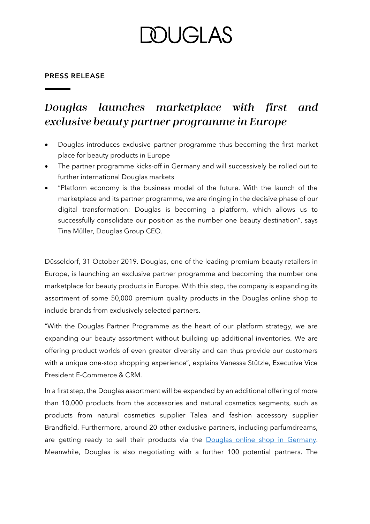# DUGI AS

## **PRESS RELEASE**

#### Douglas launches marketplace with first and exclusive beauty partner programme in Europe

- Douglas introduces exclusive partner programme thus becoming the first market place for beauty products in Europe
- The partner programme kicks-off in Germany and will successively be rolled out to further international Douglas markets
- "Platform economy is the business model of the future. With the launch of the marketplace and its partner programme, we are ringing in the decisive phase of our digital transformation: Douglas is becoming a platform, which allows us to successfully consolidate our position as the number one beauty destination", says Tina Müller, Douglas Group CEO.

Düsseldorf, 31 October 2019. Douglas, one of the leading premium beauty retailers in Europe, is launching an exclusive partner programme and becoming the number one marketplace for beauty products in Europe. With this step, the company is expanding its assortment of some 50,000 premium quality products in the Douglas online shop to include brands from exclusively selected partners.

"With the Douglas Partner Programme as the heart of our platform strategy, we are expanding our beauty assortment without building up additional inventories. We are offering product worlds of even greater diversity and can thus provide our customers with a unique one-stop shopping experience", explains Vanessa Stützle, Executive Vice President E-Commerce & CRM.

In a first step, the Douglas assortment will be expanded by an additional offering of more than 10,000 products from the accessories and natural cosmetics segments, such as products from natural cosmetics supplier Talea and fashion accessory supplier Brandfield. Furthermore, around 20 other exclusive partners, including parfumdreams, are getting ready to sell their products via the [Douglas online shop in Germany.](https://www.douglas.de/) Meanwhile, Douglas is also negotiating with a further 100 potential partners. The